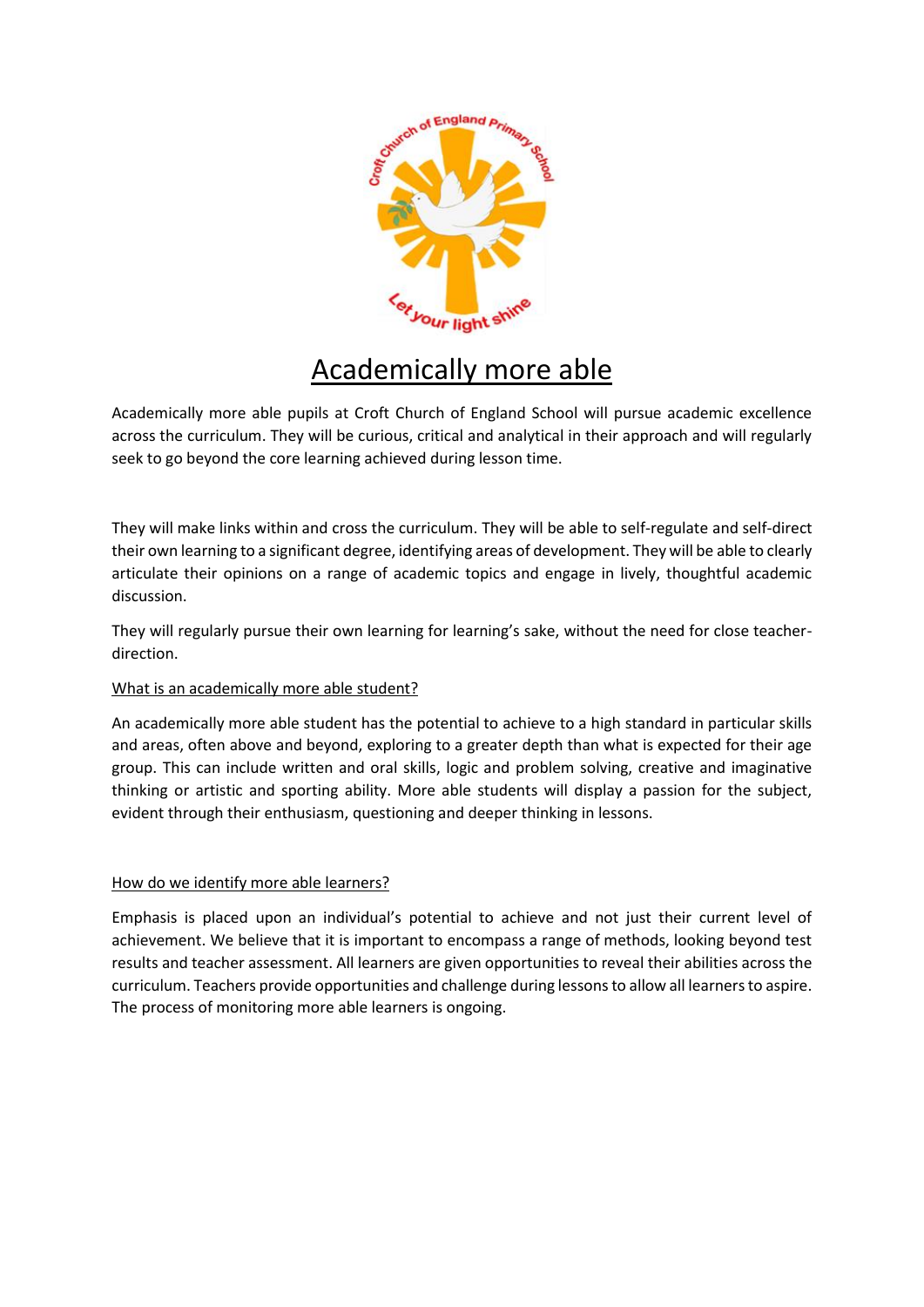

# Academically more able

Academically more able pupils at Croft Church of England School will pursue academic excellence across the curriculum. They will be curious, critical and analytical in their approach and will regularly seek to go beyond the core learning achieved during lesson time.

They will make links within and cross the curriculum. They will be able to self-regulate and self-direct their own learning to a significant degree, identifying areas of development. They will be able to clearly articulate their opinions on a range of academic topics and engage in lively, thoughtful academic discussion.

They will regularly pursue their own learning for learning's sake, without the need for close teacherdirection.

# What is an academically more able student?

An academically more able student has the potential to achieve to a high standard in particular skills and areas, often above and beyond, exploring to a greater depth than what is expected for their age group. This can include written and oral skills, logic and problem solving, creative and imaginative thinking or artistic and sporting ability. More able students will display a passion for the subject, evident through their enthusiasm, questioning and deeper thinking in lessons.

## How do we identify more able learners?

Emphasis is placed upon an individual's potential to achieve and not just their current level of achievement. We believe that it is important to encompass a range of methods, looking beyond test results and teacher assessment. All learners are given opportunities to reveal their abilities across the curriculum. Teachers provide opportunities and challenge during lessons to allow all learners to aspire. The process of monitoring more able learners is ongoing.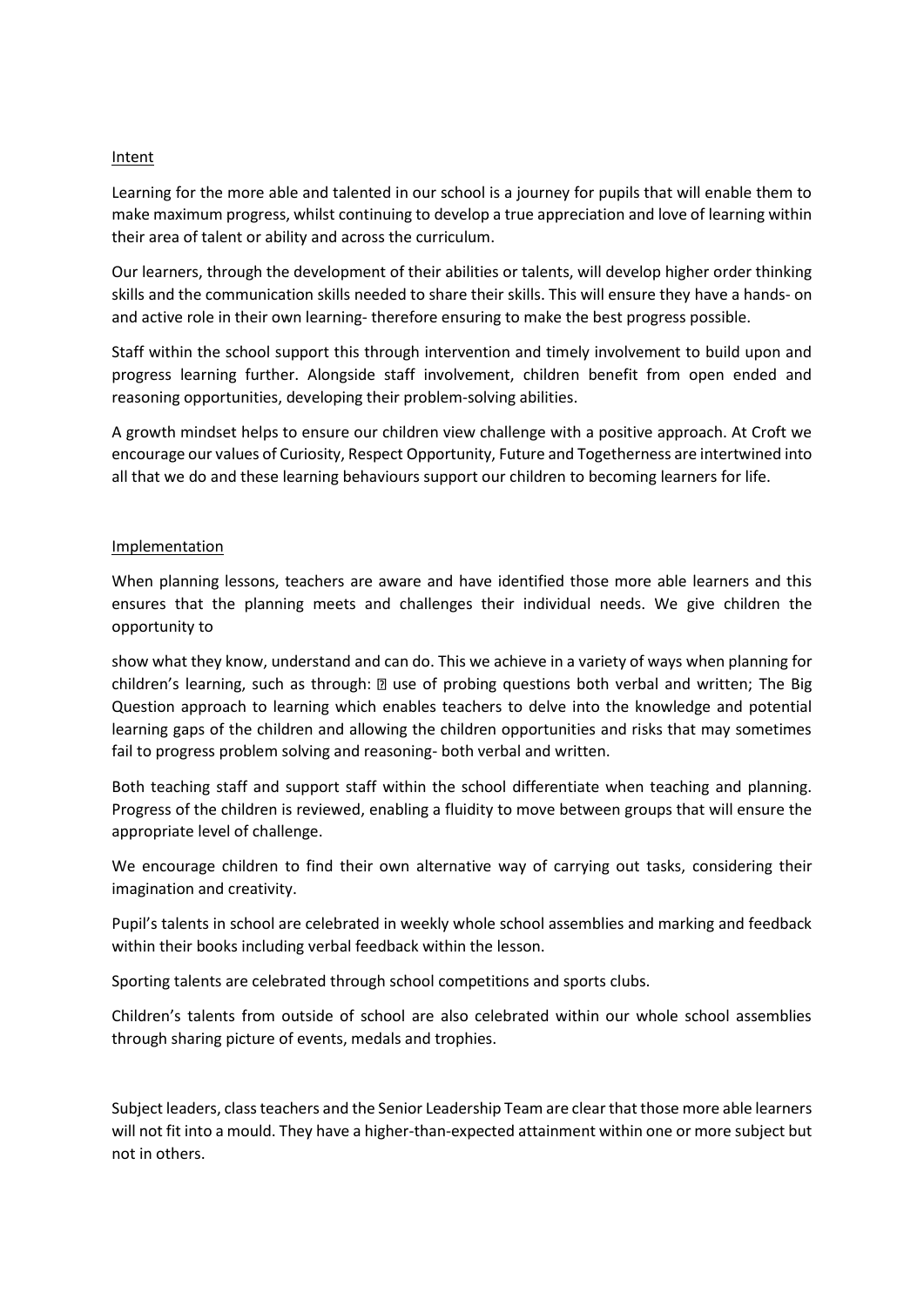#### **Intent**

Learning for the more able and talented in our school is a journey for pupils that will enable them to make maximum progress, whilst continuing to develop a true appreciation and love of learning within their area of talent or ability and across the curriculum.

Our learners, through the development of their abilities or talents, will develop higher order thinking skills and the communication skills needed to share their skills. This will ensure they have a hands- on and active role in their own learning- therefore ensuring to make the best progress possible.

Staff within the school support this through intervention and timely involvement to build upon and progress learning further. Alongside staff involvement, children benefit from open ended and reasoning opportunities, developing their problem-solving abilities.

A growth mindset helps to ensure our children view challenge with a positive approach. At Croft we encourage our values of Curiosity, Respect Opportunity, Future and Togetherness are intertwined into all that we do and these learning behaviours support our children to becoming learners for life.

#### Implementation

When planning lessons, teachers are aware and have identified those more able learners and this ensures that the planning meets and challenges their individual needs. We give children the opportunity to

show what they know, understand and can do. This we achieve in a variety of ways when planning for children's learning, such as through: an use of probing questions both verbal and written; The Big Question approach to learning which enables teachers to delve into the knowledge and potential learning gaps of the children and allowing the children opportunities and risks that may sometimes fail to progress problem solving and reasoning- both verbal and written.

Both teaching staff and support staff within the school differentiate when teaching and planning. Progress of the children is reviewed, enabling a fluidity to move between groups that will ensure the appropriate level of challenge.

We encourage children to find their own alternative way of carrying out tasks, considering their imagination and creativity.

Pupil's talents in school are celebrated in weekly whole school assemblies and marking and feedback within their books including verbal feedback within the lesson.

Sporting talents are celebrated through school competitions and sports clubs.

Children's talents from outside of school are also celebrated within our whole school assemblies through sharing picture of events, medals and trophies.

Subject leaders, class teachers and the Senior Leadership Team are clear that those more able learners will not fit into a mould. They have a higher-than-expected attainment within one or more subject but not in others.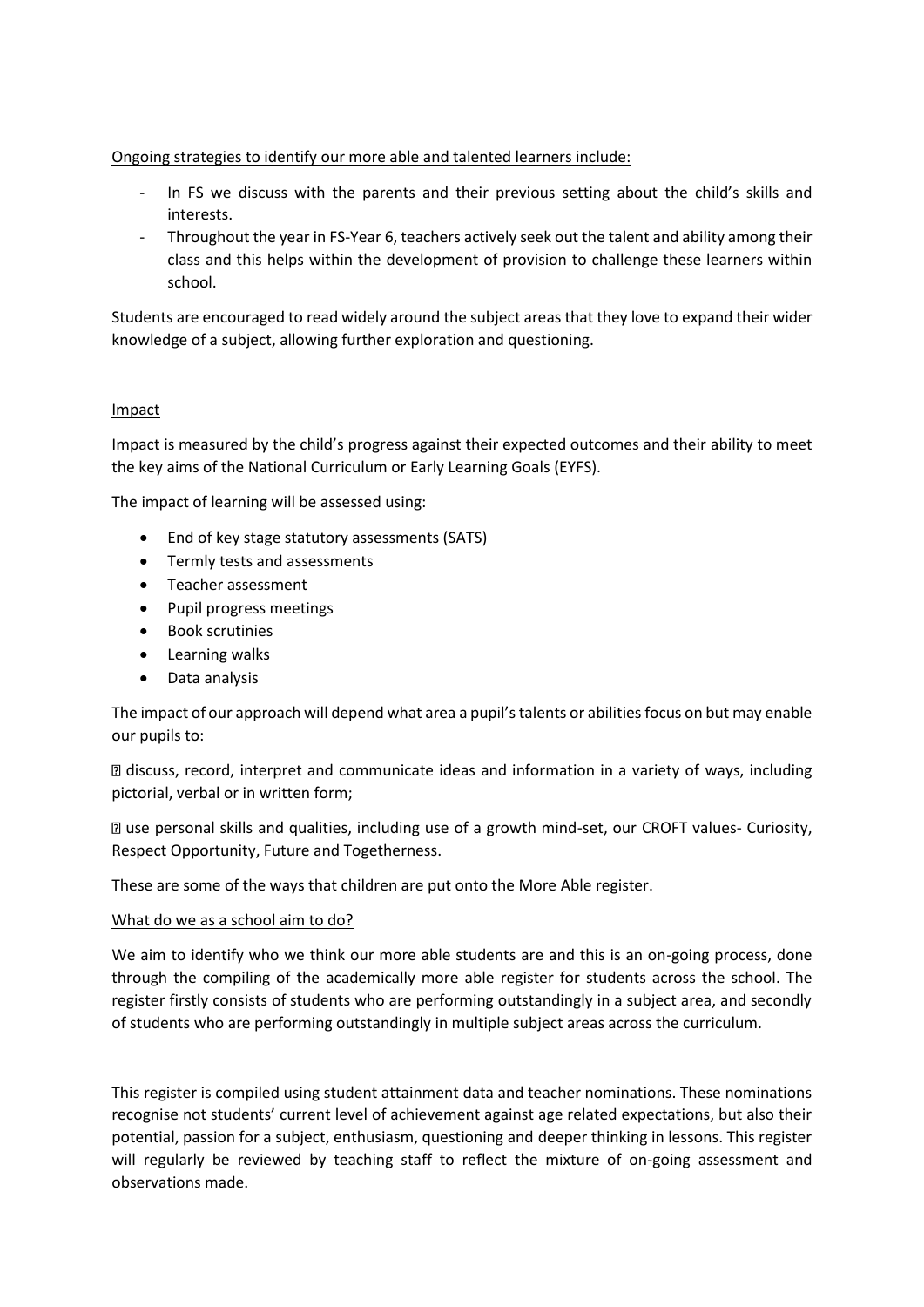# Ongoing strategies to identify our more able and talented learners include:

- In FS we discuss with the parents and their previous setting about the child's skills and interests.
- Throughout the year in FS-Year 6, teachers actively seek out the talent and ability among their class and this helps within the development of provision to challenge these learners within school.

Students are encouraged to read widely around the subject areas that they love to expand their wider knowledge of a subject, allowing further exploration and questioning.

## Impact

Impact is measured by the child's progress against their expected outcomes and their ability to meet the key aims of the National Curriculum or Early Learning Goals (EYFS).

The impact of learning will be assessed using:

- End of key stage statutory assessments (SATS)
- Termly tests and assessments
- Teacher assessment
- Pupil progress meetings
- Book scrutinies
- Learning walks
- Data analysis

The impact of our approach will depend what area a pupil's talents or abilities focus on but may enable our pupils to:

discuss, record, interpret and communicate ideas and information in a variety of ways, including pictorial, verbal or in written form;

use personal skills and qualities, including use of a growth mind-set, our CROFT values- Curiosity, Respect Opportunity, Future and Togetherness.

These are some of the ways that children are put onto the More Able register.

## What do we as a school aim to do?

We aim to identify who we think our more able students are and this is an on-going process, done through the compiling of the academically more able register for students across the school. The register firstly consists of students who are performing outstandingly in a subject area, and secondly of students who are performing outstandingly in multiple subject areas across the curriculum.

This register is compiled using student attainment data and teacher nominations. These nominations recognise not students' current level of achievement against age related expectations, but also their potential, passion for a subject, enthusiasm, questioning and deeper thinking in lessons. This register will regularly be reviewed by teaching staff to reflect the mixture of on-going assessment and observations made.